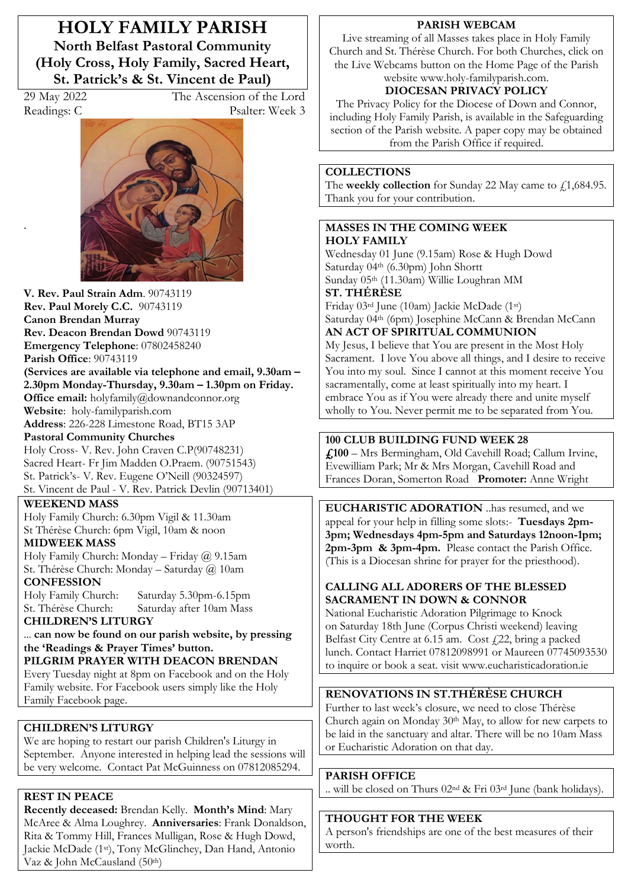**HOLY FAMILY PARISH North Belfast Pastoral Community (Holy Cross, Holy Family, Sacred Heart, St. Patrick's & St. Vincent de Paul)**

.

29 May 2022 The Ascension of the Lord Readings: C Psalter: Week 3



**V. Rev. Paul Strain Adm**. 90743119 **Rev. Paul Morely C.C.** 90743119 **Canon Brendan Murray Rev. Deacon Brendan Dowd** 90743119 **Emergency Telephone**: 07802458240 **Parish Office**: 90743119 **(Services are available via telephone and email, 9.30am – 2.30pm Monday-Thursday, 9.30am – 1.30pm on Friday. Office email:** holyfamily@downandconnor.org **Website**: holy-familyparish.com **Address**: 226-228 Limestone Road, BT15 3AP **Pastoral Community Churches** Holy Cross- V. Rev. John Craven C.P(90748231)

Sacred Heart- Fr Jim Madden O.Praem. (90751543) St. Patrick's- V. Rev. Eugene O'Neill (90324597) St. Vincent de Paul - V. Rev. Patrick Devlin (90713401)

**WEEKEND MASS**  Holy Family Church: 6.30pm Vigil & 11.30am

St Thérèse Church: 6pm Vigil, 10am & noon **MIDWEEK MASS**

Holy Family Church: Monday – Friday @ 9.15am St. Thérèse Church: Monday – Saturday @ 10am **CONFESSION**

Holy Family Church: Saturday 5.30pm-6.15pm Saturday after 10am Mass **CHILDREN'S LITURGY** 

... **can now be found on our parish website, by pressing the 'Readings & Prayer Times' button. PILGRIM PRAYER WITH DEACON BRENDAN**

Every Tuesday night at 8pm on Facebook and on the Holy Family website. For Facebook users simply like the Holy Family Facebook page.

## **CHILDREN'S LITURGY**

We are hoping to restart our parish Children's Liturgy in September. Anyone interested in helping lead the sessions will be very welcome. Contact Pat McGuinness on 07812085294.

## **REST IN PEACE**

**Recently deceased:** Brendan Kelly. **Month's Mind**: Mary McAree & Alma Loughrey. **Anniversaries**: Frank Donaldson, Rita & Tommy Hill, Frances Mulligan, Rose & Hugh Dowd, Jackie McDade (1st), Tony McGlinchey, Dan Hand, Antonio Vaz & John McCausland  $(50<sup>th</sup>)$ 

## **PARISH WEBCAM**

Live streaming of all Masses takes place in Holy Family Church and St. Thérèse Church. For both Churches, click on the Live Webcams button on the Home Page of the Parish

website [www.holy-familyparish.com.](http://www.holy-familyparish.com/)

## **DIOCESAN PRIVACY POLICY**

The Privacy Policy for the Diocese of Down and Connor, including Holy Family Parish, is available in the Safeguarding section of the Parish website. A paper copy may be obtained from the Parish Office if required.

## **COLLECTIONS**

The **weekly collection** for Sunday 22 May came to  $f$ , 1, 684.95. Thank you for your contribution.

#### **MASSES IN THE COMING WEEK HOLY FAMILY**

Wednesday 01 June (9.15am) Rose & Hugh Dowd Saturday 04th (6.30pm) John Shortt Sunday 05th (11.30am) Willie Loughran MM **ST. THÉRÈSE** 

Friday 03rd June (10am) Jackie McDade (1st) Saturday 04th (6pm) Josephine McCann & Brendan McCann

# **AN ACT OF SPIRITUAL COMMUNION**

My Jesus, I believe that You are present in the Most Holy Sacrament. I love You above all things, and I desire to receive You into my soul. Since I cannot at this moment receive You sacramentally, come at least spiritually into my heart. I embrace You as if You were already there and unite myself wholly to You. Never permit me to be separated from You.

## **100 CLUB BUILDING FUND WEEK 28**

**£100** – Mrs Bermingham, Old Cavehill Road; Callum Irvine, Evewilliam Park; Mr & Mrs Morgan, Cavehill Road and Frances Doran, Somerton Road **Promoter:** Anne Wright

**EUCHARISTIC ADORATION** ..has resumed, and we appeal for your help in filling some slots:- **Tuesdays 2pm-3pm; Wednesdays 4pm-5pm and Saturdays 12noon-1pm; 2pm-3pm & 3pm-4pm.** Please contact the Parish Office. (This is a Diocesan shrine for prayer for the priesthood).

## **CALLING ALL ADORERS OF THE BLESSED SACRAMENT IN DOWN & CONNOR**

National Eucharistic Adoration Pilgrimage to Knock on Saturday 18th June (Corpus Christi weekend) leaving Belfast City Centre at 6.15 am. Cost (22, bring a packed lunch. Contact Harriet 07812098991 or Maureen 07745093530 to inquire or book a seat. visit www.eucharisticadoration.ie

## **RENOVATIONS IN ST.THÉRÈSE CHURCH**

Further to last week's closure, we need to close Thérèse Church again on Monday 30th May, to allow for new carpets to be laid in the sanctuary and altar. There will be no 10am Mass or Eucharistic Adoration on that day.

## **PARISH OFFICE**

.. will be closed on Thurs 02nd & Fri 03rd June (bank holidays).

## **THOUGHT FOR THE WEEK**

A person's friendships are one of the best measures of their worth.